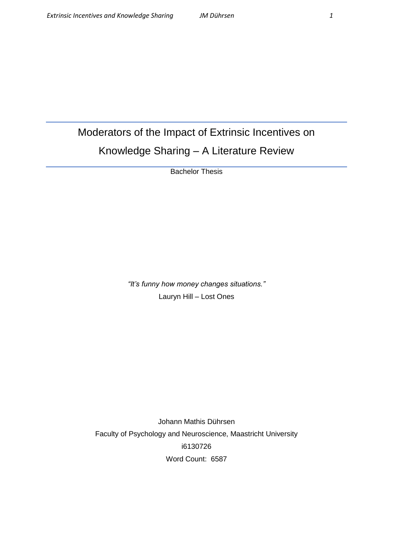# Moderators of the Impact of Extrinsic Incentives on Knowledge Sharing – A Literature Review

Bachelor Thesis

*"It's funny how money changes situations."* Lauryn Hill – Lost Ones

Johann Mathis Dührsen Faculty of Psychology and Neuroscience, Maastricht University i6130726 Word Count: 6587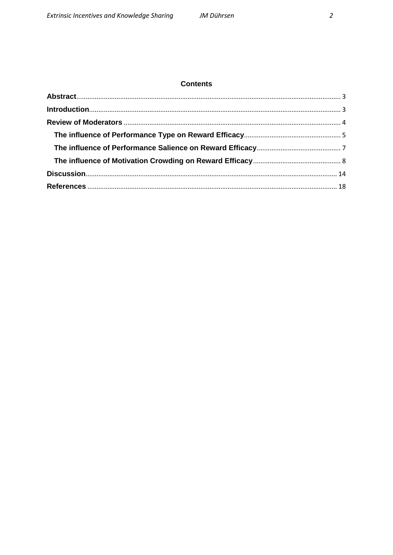# **Contents**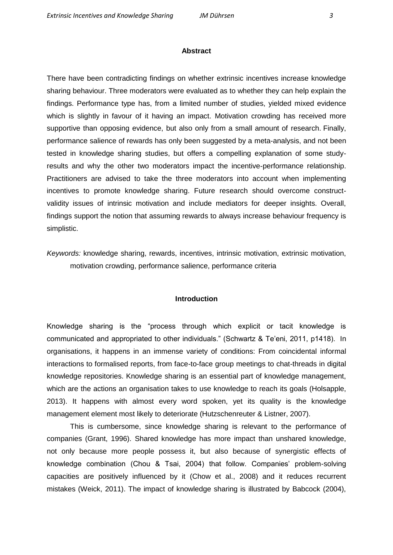#### **Abstract**

<span id="page-2-0"></span>There have been contradicting findings on whether extrinsic incentives increase knowledge sharing behaviour. Three moderators were evaluated as to whether they can help explain the findings. Performance type has, from a limited number of studies, yielded mixed evidence which is slightly in favour of it having an impact. Motivation crowding has received more supportive than opposing evidence, but also only from a small amount of research. Finally, performance salience of rewards has only been suggested by a meta-analysis, and not been tested in knowledge sharing studies, but offers a compelling explanation of some studyresults and why the other two moderators impact the incentive-performance relationship. Practitioners are advised to take the three moderators into account when implementing incentives to promote knowledge sharing. Future research should overcome constructvalidity issues of intrinsic motivation and include mediators for deeper insights. Overall, findings support the notion that assuming rewards to always increase behaviour frequency is simplistic.

*Keywords:* knowledge sharing, rewards, incentives, intrinsic motivation, extrinsic motivation, motivation crowding, performance salience, performance criteria

# **Introduction**

<span id="page-2-1"></span>Knowledge sharing is the "process through which explicit or tacit knowledge is communicated and appropriated to other individuals." (Schwartz & Te'eni, 2011, p1418). In organisations, it happens in an immense variety of conditions: From coincidental informal interactions to formalised reports, from face-to-face group meetings to chat-threads in digital knowledge repositories. Knowledge sharing is an essential part of knowledge management, which are the actions an organisation takes to use knowledge to reach its goals (Holsapple, 2013). It happens with almost every word spoken, yet its quality is the knowledge management element most likely to deteriorate (Hutzschenreuter & Listner, 2007).

This is cumbersome, since knowledge sharing is relevant to the performance of companies (Grant, 1996). Shared knowledge has more impact than unshared knowledge, not only because more people possess it, but also because of synergistic effects of knowledge combination (Chou & Tsai, 2004) that follow. Companies' problem-solving capacities are positively influenced by it (Chow et al., 2008) and it reduces recurrent mistakes (Weick, 2011). The impact of knowledge sharing is illustrated by Babcock (2004),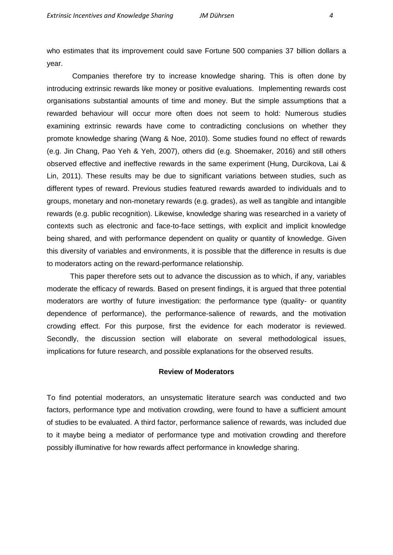who estimates that its improvement could save Fortune 500 companies 37 billion dollars a year.

Companies therefore try to increase knowledge sharing. This is often done by introducing extrinsic rewards like money or positive evaluations. Implementing rewards cost organisations substantial amounts of time and money. But the simple assumptions that a rewarded behaviour will occur more often does not seem to hold: Numerous studies examining extrinsic rewards have come to contradicting conclusions on whether they promote knowledge sharing (Wang & Noe, 2010). Some studies found no effect of rewards (e.g. Jin Chang, Pao Yeh & Yeh, 2007), others did (e.g. Shoemaker, 2016) and still others observed effective and ineffective rewards in the same experiment (Hung, Durcikova, Lai & Lin, 2011). These results may be due to significant variations between studies, such as different types of reward. Previous studies featured rewards awarded to individuals and to groups, monetary and non-monetary rewards (e.g. grades), as well as tangible and intangible rewards (e.g. public recognition). Likewise, knowledge sharing was researched in a variety of contexts such as electronic and face-to-face settings, with explicit and implicit knowledge being shared, and with performance dependent on quality or quantity of knowledge. Given this diversity of variables and environments, it is possible that the difference in results is due to moderators acting on the reward-performance relationship.

This paper therefore sets out to advance the discussion as to which, if any, variables moderate the efficacy of rewards. Based on present findings, it is argued that three potential moderators are worthy of future investigation: the performance type (quality- or quantity dependence of performance), the performance-salience of rewards, and the motivation crowding effect. For this purpose, first the evidence for each moderator is reviewed. Secondly, the discussion section will elaborate on several methodological issues, implications for future research, and possible explanations for the observed results.

## **Review of Moderators**

<span id="page-3-0"></span>To find potential moderators, an unsystematic literature search was conducted and two factors, performance type and motivation crowding, were found to have a sufficient amount of studies to be evaluated. A third factor, performance salience of rewards, was included due to it maybe being a mediator of performance type and motivation crowding and therefore possibly illuminative for how rewards affect performance in knowledge sharing.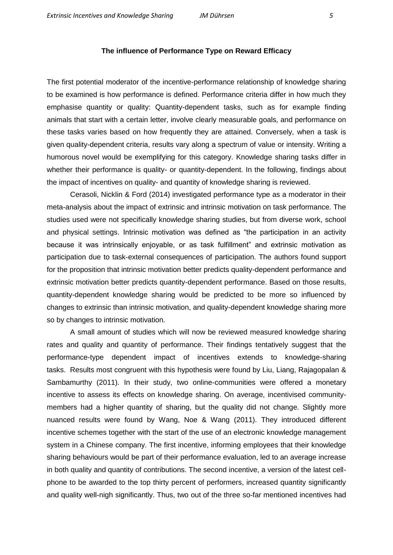## **The influence of Performance Type on Reward Efficacy**

<span id="page-4-0"></span>The first potential moderator of the incentive-performance relationship of knowledge sharing to be examined is how performance is defined. Performance criteria differ in how much they emphasise quantity or quality: Quantity-dependent tasks, such as for example finding animals that start with a certain letter, involve clearly measurable goals, and performance on these tasks varies based on how frequently they are attained. Conversely, when a task is given quality-dependent criteria, results vary along a spectrum of value or intensity. Writing a humorous novel would be exemplifying for this category. Knowledge sharing tasks differ in whether their performance is quality- or quantity-dependent. In the following, findings about the impact of incentives on quality- and quantity of knowledge sharing is reviewed.

Cerasoli, Nicklin & Ford (2014) investigated performance type as a moderator in their meta-analysis about the impact of extrinsic and intrinsic motivation on task performance. The studies used were not specifically knowledge sharing studies, but from diverse work, school and physical settings. Intrinsic motivation was defined as "the participation in an activity because it was intrinsically enjoyable, or as task fulfillment" and extrinsic motivation as participation due to task-external consequences of participation. The authors found support for the proposition that intrinsic motivation better predicts quality-dependent performance and extrinsic motivation better predicts quantity-dependent performance. Based on those results, quantity-dependent knowledge sharing would be predicted to be more so influenced by changes to extrinsic than intrinsic motivation, and quality-dependent knowledge sharing more so by changes to intrinsic motivation.

A small amount of studies which will now be reviewed measured knowledge sharing rates and quality and quantity of performance. Their findings tentatively suggest that the performance-type dependent impact of incentives extends to knowledge-sharing tasks. Results most congruent with this hypothesis were found by Liu, Liang, Rajagopalan & Sambamurthy (2011). In their study, two online-communities were offered a monetary incentive to assess its effects on knowledge sharing. On average, incentivised communitymembers had a higher quantity of sharing, but the quality did not change. Slightly more nuanced results were found by Wang, Noe & Wang (2011). They introduced different incentive schemes together with the start of the use of an electronic knowledge management system in a Chinese company. The first incentive, informing employees that their knowledge sharing behaviours would be part of their performance evaluation, led to an average increase in both quality and quantity of contributions. The second incentive, a version of the latest cellphone to be awarded to the top thirty percent of performers, increased quantity significantly and quality well-nigh significantly. Thus, two out of the three so-far mentioned incentives had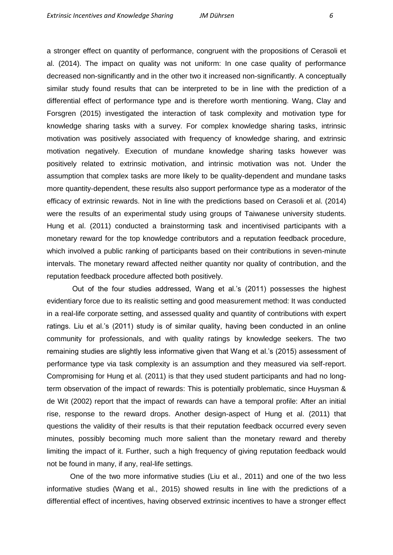a stronger effect on quantity of performance, congruent with the propositions of Cerasoli et al. (2014). The impact on quality was not uniform: In one case quality of performance decreased non-significantly and in the other two it increased non-significantly. A conceptually similar study found results that can be interpreted to be in line with the prediction of a differential effect of performance type and is therefore worth mentioning. Wang, Clay and Forsgren (2015) investigated the interaction of task complexity and motivation type for knowledge sharing tasks with a survey. For complex knowledge sharing tasks, intrinsic motivation was positively associated with frequency of knowledge sharing, and extrinsic motivation negatively. Execution of mundane knowledge sharing tasks however was positively related to extrinsic motivation, and intrinsic motivation was not. Under the assumption that complex tasks are more likely to be quality-dependent and mundane tasks more quantity-dependent, these results also support performance type as a moderator of the efficacy of extrinsic rewards. Not in line with the predictions based on Cerasoli et al. (2014) were the results of an experimental study using groups of Taiwanese university students. Hung et al. (2011) conducted a brainstorming task and incentivised participants with a monetary reward for the top knowledge contributors and a reputation feedback procedure, which involved a public ranking of participants based on their contributions in seven-minute intervals. The monetary reward affected neither quantity nor quality of contribution, and the reputation feedback procedure affected both positively.

Out of the four studies addressed, Wang et al.'s (2011) possesses the highest evidentiary force due to its realistic setting and good measurement method: It was conducted in a real-life corporate setting, and assessed quality and quantity of contributions with expert ratings. Liu et al.'s (2011) study is of similar quality, having been conducted in an online community for professionals, and with quality ratings by knowledge seekers. The two remaining studies are slightly less informative given that Wang et al.'s (2015) assessment of performance type via task complexity is an assumption and they measured via self-report. Compromising for Hung et al. (2011) is that they used student participants and had no longterm observation of the impact of rewards: This is potentially problematic, since Huysman & de Wit (2002) report that the impact of rewards can have a temporal profile: After an initial rise, response to the reward drops. Another design-aspect of Hung et al. (2011) that questions the validity of their results is that their reputation feedback occurred every seven minutes, possibly becoming much more salient than the monetary reward and thereby limiting the impact of it. Further, such a high frequency of giving reputation feedback would not be found in many, if any, real-life settings.

One of the two more informative studies (Liu et al., 2011) and one of the two less informative studies (Wang et al., 2015) showed results in line with the predictions of a differential effect of incentives, having observed extrinsic incentives to have a stronger effect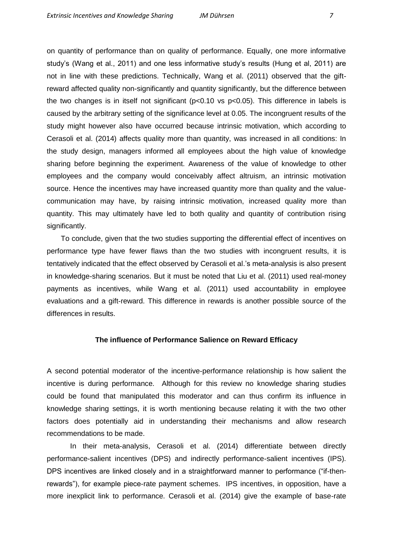on quantity of performance than on quality of performance. Equally, one more informative study's (Wang et al., 2011) and one less informative study's results (Hung et al, 2011) are not in line with these predictions. Technically, Wang et al. (2011) observed that the giftreward affected quality non-significantly and quantity significantly, but the difference between the two changes is in itself not significant (p<0.10 vs p<0.05). This difference in labels is caused by the arbitrary setting of the significance level at 0.05. The incongruent results of the study might however also have occurred because intrinsic motivation, which according to Cerasoli et al. (2014) affects quality more than quantity, was increased in all conditions: In the study design, managers informed all employees about the high value of knowledge sharing before beginning the experiment. Awareness of the value of knowledge to other employees and the company would conceivably affect altruism, an intrinsic motivation source. Hence the incentives may have increased quantity more than quality and the valuecommunication may have, by raising intrinsic motivation, increased quality more than quantity. This may ultimately have led to both quality and quantity of contribution rising significantly.

 To conclude, given that the two studies supporting the differential effect of incentives on performance type have fewer flaws than the two studies with incongruent results, it is tentatively indicated that the effect observed by Cerasoli et al.'s meta-analysis is also present in knowledge-sharing scenarios. But it must be noted that Liu et al. (2011) used real-money payments as incentives, while Wang et al. (2011) used accountability in employee evaluations and a gift-reward. This difference in rewards is another possible source of the differences in results.

#### **The influence of Performance Salience on Reward Efficacy**

<span id="page-6-0"></span>A second potential moderator of the incentive-performance relationship is how salient the incentive is during performance. Although for this review no knowledge sharing studies could be found that manipulated this moderator and can thus confirm its influence in knowledge sharing settings, it is worth mentioning because relating it with the two other factors does potentially aid in understanding their mechanisms and allow research recommendations to be made.

In their meta-analysis, Cerasoli et al. (2014) differentiate between directly performance-salient incentives (DPS) and indirectly performance-salient incentives (IPS). DPS incentives are linked closely and in a straightforward manner to performance ("if-thenrewards"), for example piece-rate payment schemes. IPS incentives, in opposition, have a more inexplicit link to performance. Cerasoli et al. (2014) give the example of base-rate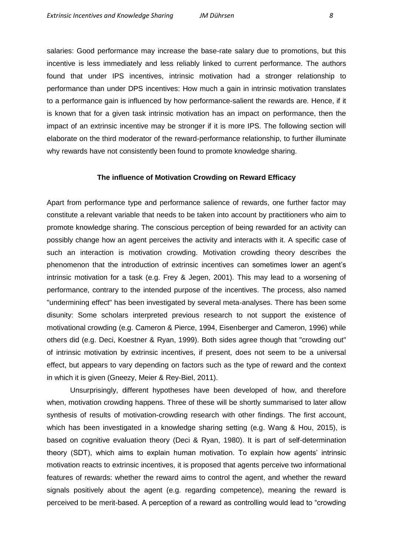salaries: Good performance may increase the base-rate salary due to promotions, but this incentive is less immediately and less reliably linked to current performance. The authors found that under IPS incentives, intrinsic motivation had a stronger relationship to performance than under DPS incentives: How much a gain in intrinsic motivation translates to a performance gain is influenced by how performance-salient the rewards are. Hence, if it is known that for a given task intrinsic motivation has an impact on performance, then the impact of an extrinsic incentive may be stronger if it is more IPS. The following section will elaborate on the third moderator of the reward-performance relationship, to further illuminate why rewards have not consistently been found to promote knowledge sharing.

#### **The influence of Motivation Crowding on Reward Efficacy**

<span id="page-7-0"></span>Apart from performance type and performance salience of rewards, one further factor may constitute a relevant variable that needs to be taken into account by practitioners who aim to promote knowledge sharing. The conscious perception of being rewarded for an activity can possibly change how an agent perceives the activity and interacts with it. A specific case of such an interaction is motivation crowding. Motivation crowding theory describes the phenomenon that the introduction of extrinsic incentives can sometimes lower an agent's intrinsic motivation for a task (e.g. Frey & Jegen, 2001). This may lead to a worsening of performance, contrary to the intended purpose of the incentives. The process, also named "undermining effect" has been investigated by several meta-analyses. There has been some disunity: Some scholars interpreted previous research to not support the existence of motivational crowding (e.g. Cameron & Pierce, 1994, Eisenberger and Cameron, 1996) while others did (e.g. Deci, Koestner & Ryan, 1999). Both sides agree though that "crowding out" of intrinsic motivation by extrinsic incentives, if present, does not seem to be a universal effect, but appears to vary depending on factors such as the type of reward and the context in which it is given (Gneezy, Meier & Rey-Biel, 2011).

Unsurprisingly, different hypotheses have been developed of how, and therefore when, motivation crowding happens. Three of these will be shortly summarised to later allow synthesis of results of motivation-crowding research with other findings. The first account, which has been investigated in a knowledge sharing setting (e.g. Wang & Hou, 2015), is based on cognitive evaluation theory (Deci & Ryan, 1980). It is part of self-determination theory (SDT), which aims to explain human motivation. To explain how agents' intrinsic motivation reacts to extrinsic incentives, it is proposed that agents perceive two informational features of rewards: whether the reward aims to control the agent, and whether the reward signals positively about the agent (e.g. regarding competence), meaning the reward is perceived to be merit-based. A perception of a reward as controlling would lead to "crowding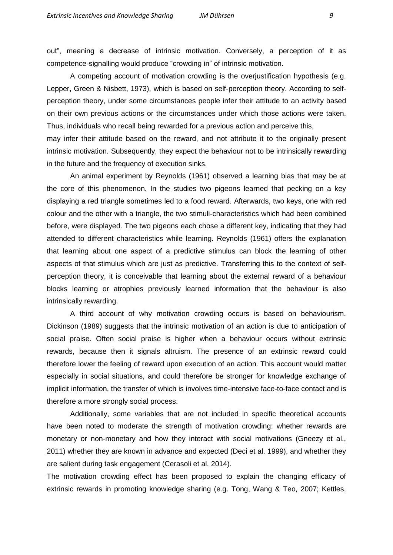out", meaning a decrease of intrinsic motivation. Conversely, a perception of it as competence-signalling would produce "crowding in" of intrinsic motivation.

A competing account of motivation crowding is the overjustification hypothesis (e.g. Lepper, Green & Nisbett, 1973), which is based on self-perception theory. According to selfperception theory, under some circumstances people infer their attitude to an activity based on their own previous actions or the circumstances under which those actions were taken. Thus, individuals who recall being rewarded for a previous action and perceive this,

may infer their attitude based on the reward, and not attribute it to the originally present intrinsic motivation. Subsequently, they expect the behaviour not to be intrinsically rewarding in the future and the frequency of execution sinks.

An animal experiment by Reynolds (1961) observed a learning bias that may be at the core of this phenomenon. In the studies two pigeons learned that pecking on a key displaying a red triangle sometimes led to a food reward. Afterwards, two keys, one with red colour and the other with a triangle, the two stimuli-characteristics which had been combined before, were displayed. The two pigeons each chose a different key, indicating that they had attended to different characteristics while learning. Reynolds (1961) offers the explanation that learning about one aspect of a predictive stimulus can block the learning of other aspects of that stimulus which are just as predictive. Transferring this to the context of selfperception theory, it is conceivable that learning about the external reward of a behaviour blocks learning or atrophies previously learned information that the behaviour is also intrinsically rewarding.

A third account of why motivation crowding occurs is based on behaviourism. Dickinson (1989) suggests that the intrinsic motivation of an action is due to anticipation of social praise. Often social praise is higher when a behaviour occurs without extrinsic rewards, because then it signals altruism. The presence of an extrinsic reward could therefore lower the feeling of reward upon execution of an action. This account would matter especially in social situations, and could therefore be stronger for knowledge exchange of implicit information, the transfer of which is involves time-intensive face-to-face contact and is therefore a more strongly social process.

Additionally, some variables that are not included in specific theoretical accounts have been noted to moderate the strength of motivation crowding: whether rewards are monetary or non-monetary and how they interact with social motivations (Gneezy et al., 2011) whether they are known in advance and expected (Deci et al. 1999), and whether they are salient during task engagement (Cerasoli et al. 2014).

The motivation crowding effect has been proposed to explain the changing efficacy of extrinsic rewards in promoting knowledge sharing (e.g. Tong, Wang & Teo, 2007; Kettles,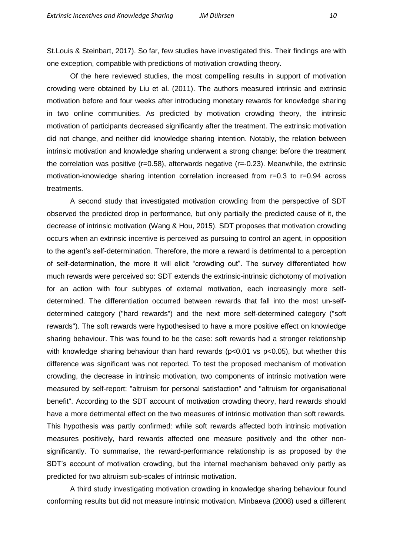St.Louis & Steinbart, 2017). So far, few studies have investigated this. Their findings are with one exception, compatible with predictions of motivation crowding theory.

Of the here reviewed studies, the most compelling results in support of motivation crowding were obtained by Liu et al. (2011). The authors measured intrinsic and extrinsic motivation before and four weeks after introducing monetary rewards for knowledge sharing in two online communities. As predicted by motivation crowding theory, the intrinsic motivation of participants decreased significantly after the treatment. The extrinsic motivation did not change, and neither did knowledge sharing intention. Notably, the relation between intrinsic motivation and knowledge sharing underwent a strong change: before the treatment the correlation was positive (r=0.58), afterwards negative (r=-0.23). Meanwhile, the extrinsic motivation-knowledge sharing intention correlation increased from r=0.3 to r=0.94 across treatments.

A second study that investigated motivation crowding from the perspective of SDT observed the predicted drop in performance, but only partially the predicted cause of it, the decrease of intrinsic motivation (Wang & Hou, 2015). SDT proposes that motivation crowding occurs when an extrinsic incentive is perceived as pursuing to control an agent, in opposition to the agent's self-determination. Therefore, the more a reward is detrimental to a perception of self-determination, the more it will elicit "crowding out". The survey differentiated how much rewards were perceived so: SDT extends the extrinsic-intrinsic dichotomy of motivation for an action with four subtypes of external motivation, each increasingly more selfdetermined. The differentiation occurred between rewards that fall into the most un-selfdetermined category ("hard rewards") and the next more self-determined category ("soft rewards"). The soft rewards were hypothesised to have a more positive effect on knowledge sharing behaviour. This was found to be the case: soft rewards had a stronger relationship with knowledge sharing behaviour than hard rewards (p<0.01 vs p<0.05), but whether this difference was significant was not reported. To test the proposed mechanism of motivation crowding, the decrease in intrinsic motivation, two components of intrinsic motivation were measured by self-report: "altruism for personal satisfaction" and "altruism for organisational benefit". According to the SDT account of motivation crowding theory, hard rewards should have a more detrimental effect on the two measures of intrinsic motivation than soft rewards. This hypothesis was partly confirmed: while soft rewards affected both intrinsic motivation measures positively, hard rewards affected one measure positively and the other nonsignificantly. To summarise, the reward-performance relationship is as proposed by the SDT's account of motivation crowding, but the internal mechanism behaved only partly as predicted for two altruism sub-scales of intrinsic motivation.

A third study investigating motivation crowding in knowledge sharing behaviour found conforming results but did not measure intrinsic motivation. Minbaeva (2008) used a different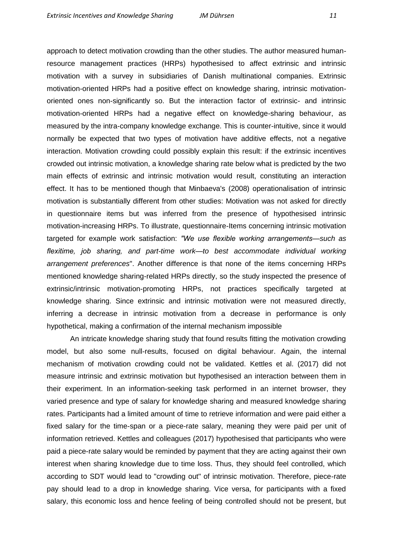approach to detect motivation crowding than the other studies. The author measured humanresource management practices (HRPs) hypothesised to affect extrinsic and intrinsic motivation with a survey in subsidiaries of Danish multinational companies. Extrinsic motivation-oriented HRPs had a positive effect on knowledge sharing, intrinsic motivationoriented ones non-significantly so. But the interaction factor of extrinsic- and intrinsic motivation-oriented HRPs had a negative effect on knowledge-sharing behaviour, as measured by the intra-company knowledge exchange. This is counter-intuitive, since it would normally be expected that two types of motivation have additive effects, not a negative interaction. Motivation crowding could possibly explain this result: if the extrinsic incentives crowded out intrinsic motivation, a knowledge sharing rate below what is predicted by the two main effects of extrinsic and intrinsic motivation would result, constituting an interaction effect. It has to be mentioned though that Minbaeva's (2008) operationalisation of intrinsic motivation is substantially different from other studies: Motivation was not asked for directly in questionnaire items but was inferred from the presence of hypothesised intrinsic motivation-increasing HRPs. To illustrate, questionnaire-Items concerning intrinsic motivation targeted for example work satisfaction: *"We use flexible working arrangements—such as flexitime, job sharing, and part-time work—to best accommodate individual working arrangement preferences*". Another difference is that none of the items concerning HRPs mentioned knowledge sharing-related HRPs directly, so the study inspected the presence of extrinsic/intrinsic motivation-promoting HRPs, not practices specifically targeted at knowledge sharing. Since extrinsic and intrinsic motivation were not measured directly, inferring a decrease in intrinsic motivation from a decrease in performance is only hypothetical, making a confirmation of the internal mechanism impossible

An intricate knowledge sharing study that found results fitting the motivation crowding model, but also some null-results, focused on digital behaviour. Again, the internal mechanism of motivation crowding could not be validated. Kettles et al. (2017) did not measure intrinsic and extrinsic motivation but hypothesised an interaction between them in their experiment. In an information-seeking task performed in an internet browser, they varied presence and type of salary for knowledge sharing and measured knowledge sharing rates. Participants had a limited amount of time to retrieve information and were paid either a fixed salary for the time-span or a piece-rate salary, meaning they were paid per unit of information retrieved. Kettles and colleagues (2017) hypothesised that participants who were paid a piece-rate salary would be reminded by payment that they are acting against their own interest when sharing knowledge due to time loss. Thus, they should feel controlled, which according to SDT would lead to "crowding out" of intrinsic motivation. Therefore, piece-rate pay should lead to a drop in knowledge sharing. Vice versa, for participants with a fixed salary, this economic loss and hence feeling of being controlled should not be present, but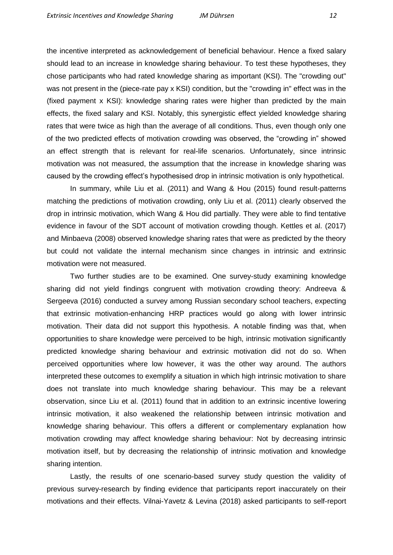the incentive interpreted as acknowledgement of beneficial behaviour. Hence a fixed salary should lead to an increase in knowledge sharing behaviour. To test these hypotheses, they chose participants who had rated knowledge sharing as important (KSI). The "crowding out" was not present in the (piece-rate pay x KSI) condition, but the "crowding in" effect was in the (fixed payment x KSI): knowledge sharing rates were higher than predicted by the main effects, the fixed salary and KSI. Notably, this synergistic effect yielded knowledge sharing rates that were twice as high than the average of all conditions. Thus, even though only one of the two predicted effects of motivation crowding was observed, the "crowding in" showed an effect strength that is relevant for real-life scenarios. Unfortunately, since intrinsic motivation was not measured, the assumption that the increase in knowledge sharing was caused by the crowding effect's hypothesised drop in intrinsic motivation is only hypothetical.

In summary, while Liu et al. (2011) and Wang & Hou (2015) found result-patterns matching the predictions of motivation crowding, only Liu et al. (2011) clearly observed the drop in intrinsic motivation, which Wang & Hou did partially. They were able to find tentative evidence in favour of the SDT account of motivation crowding though. Kettles et al. (2017) and Minbaeva (2008) observed knowledge sharing rates that were as predicted by the theory but could not validate the internal mechanism since changes in intrinsic and extrinsic motivation were not measured.

Two further studies are to be examined. One survey-study examining knowledge sharing did not yield findings congruent with motivation crowding theory: Andreeva & Sergeeva (2016) conducted a survey among Russian secondary school teachers, expecting that extrinsic motivation-enhancing HRP practices would go along with lower intrinsic motivation. Their data did not support this hypothesis. A notable finding was that, when opportunities to share knowledge were perceived to be high, intrinsic motivation significantly predicted knowledge sharing behaviour and extrinsic motivation did not do so. When perceived opportunities where low however, it was the other way around. The authors interpreted these outcomes to exemplify a situation in which high intrinsic motivation to share does not translate into much knowledge sharing behaviour. This may be a relevant observation, since Liu et al. (2011) found that in addition to an extrinsic incentive lowering intrinsic motivation, it also weakened the relationship between intrinsic motivation and knowledge sharing behaviour. This offers a different or complementary explanation how motivation crowding may affect knowledge sharing behaviour: Not by decreasing intrinsic motivation itself, but by decreasing the relationship of intrinsic motivation and knowledge sharing intention.

Lastly, the results of one scenario-based survey study question the validity of previous survey-research by finding evidence that participants report inaccurately on their motivations and their effects. Vilnai-Yavetz & Levina (2018) asked participants to self-report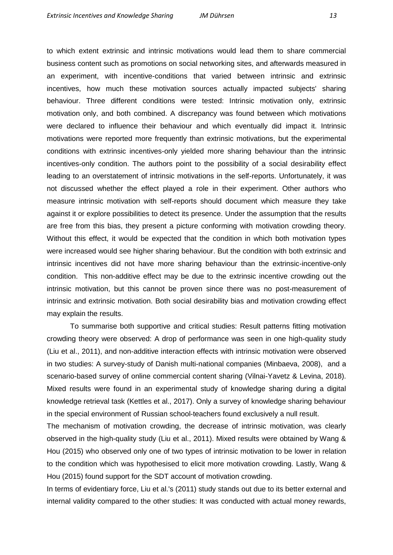to which extent extrinsic and intrinsic motivations would lead them to share commercial business content such as promotions on social networking sites, and afterwards measured in an experiment, with incentive-conditions that varied between intrinsic and extrinsic incentives, how much these motivation sources actually impacted subjects' sharing behaviour. Three different conditions were tested: Intrinsic motivation only, extrinsic motivation only, and both combined. A discrepancy was found between which motivations were declared to influence their behaviour and which eventually did impact it. Intrinsic motivations were reported more frequently than extrinsic motivations, but the experimental conditions with extrinsic incentives-only yielded more sharing behaviour than the intrinsic incentives-only condition. The authors point to the possibility of a social desirability effect leading to an overstatement of intrinsic motivations in the self-reports. Unfortunately, it was not discussed whether the effect played a role in their experiment. Other authors who measure intrinsic motivation with self-reports should document which measure they take against it or explore possibilities to detect its presence. Under the assumption that the results are free from this bias, they present a picture conforming with motivation crowding theory. Without this effect, it would be expected that the condition in which both motivation types were increased would see higher sharing behaviour. But the condition with both extrinsic and intrinsic incentives did not have more sharing behaviour than the extrinsic-incentive-only condition. This non-additive effect may be due to the extrinsic incentive crowding out the intrinsic motivation, but this cannot be proven since there was no post-measurement of intrinsic and extrinsic motivation. Both social desirability bias and motivation crowding effect may explain the results.

To summarise both supportive and critical studies: Result patterns fitting motivation crowding theory were observed: A drop of performance was seen in one high-quality study (Liu et al., 2011), and non-additive interaction effects with intrinsic motivation were observed in two studies: A survey-study of Danish multi-national companies (Minbaeva, 2008), and a scenario-based survey of online commercial content sharing (Vilnai-Yavetz & Levina, 2018). Mixed results were found in an experimental study of knowledge sharing during a digital knowledge retrieval task (Kettles et al., 2017). Only a survey of knowledge sharing behaviour in the special environment of Russian school-teachers found exclusively a null result.

The mechanism of motivation crowding, the decrease of intrinsic motivation, was clearly observed in the high-quality study (Liu et al., 2011). Mixed results were obtained by Wang & Hou (2015) who observed only one of two types of intrinsic motivation to be lower in relation to the condition which was hypothesised to elicit more motivation crowding. Lastly, Wang & Hou (2015) found support for the SDT account of motivation crowding.

In terms of evidentiary force, Liu et al.'s (2011) study stands out due to its better external and internal validity compared to the other studies: It was conducted with actual money rewards,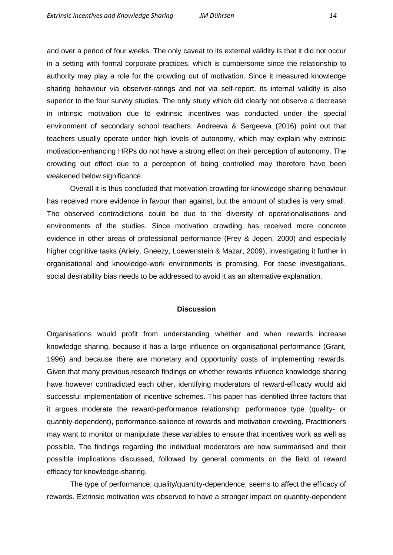and over a period of four weeks. The only caveat to its external validity is that it did not occur in a setting with formal corporate practices, which is cumbersome since the relationship to authority may play a role for the crowding out of motivation. Since it measured knowledge sharing behaviour via observer-ratings and not via self-report, its internal validity is also superior to the four survey studies. The only study which did clearly not observe a decrease in intrinsic motivation due to extrinsic incentives was conducted under the special environment of secondary school teachers. Andreeva & Sergeeva (2016) point out that teachers usually operate under high levels of autonomy, which may explain why extrinsic motivation-enhancing HRPs do not have a strong effect on their perception of autonomy. The crowding out effect due to a perception of being controlled may therefore have been weakened below significance.

Overall it is thus concluded that motivation crowding for knowledge sharing behaviour has received more evidence in favour than against, but the amount of studies is very small. The observed contradictions could be due to the diversity of operationalisations and environments of the studies. Since motivation crowding has received more concrete evidence in other areas of professional performance (Frey & Jegen, 2000) and especially higher cognitive tasks (Ariely, Gneezy, Loewenstein & Mazar, 2009), investigating it further in organisational and knowledge-work environments is promising. For these investigations, social desirability bias needs to be addressed to avoid it as an alternative explanation.

#### **Discussion**

<span id="page-13-0"></span>Organisations would profit from understanding whether and when rewards increase knowledge sharing, because it has a large influence on organisational performance (Grant, 1996) and because there are monetary and opportunity costs of implementing rewards. Given that many previous research findings on whether rewards influence knowledge sharing have however contradicted each other, identifying moderators of reward-efficacy would aid successful implementation of incentive schemes. This paper has identified three factors that it argues moderate the reward-performance relationship: performance type (quality- or quantity-dependent), performance-salience of rewards and motivation crowding. Practitioners may want to monitor or manipulate these variables to ensure that incentives work as well as possible. The findings regarding the individual moderators are now summarised and their possible implications discussed, followed by general comments on the field of reward efficacy for knowledge-sharing.

The type of performance, quality/quantity-dependence, seems to affect the efficacy of rewards. Extrinsic motivation was observed to have a stronger impact on quantity-dependent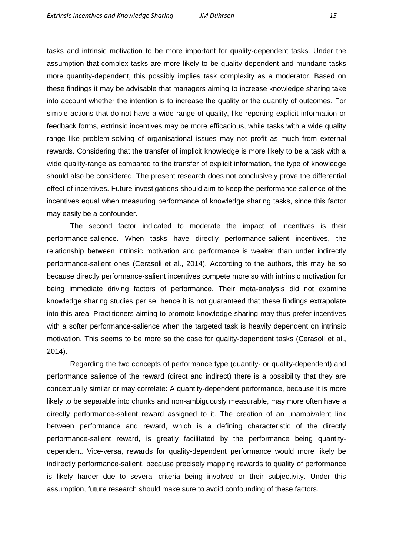tasks and intrinsic motivation to be more important for quality-dependent tasks. Under the assumption that complex tasks are more likely to be quality-dependent and mundane tasks more quantity-dependent, this possibly implies task complexity as a moderator. Based on these findings it may be advisable that managers aiming to increase knowledge sharing take into account whether the intention is to increase the quality or the quantity of outcomes. For simple actions that do not have a wide range of quality, like reporting explicit information or feedback forms, extrinsic incentives may be more efficacious, while tasks with a wide quality range like problem-solving of organisational issues may not profit as much from external rewards. Considering that the transfer of implicit knowledge is more likely to be a task with a wide quality-range as compared to the transfer of explicit information, the type of knowledge should also be considered. The present research does not conclusively prove the differential effect of incentives. Future investigations should aim to keep the performance salience of the incentives equal when measuring performance of knowledge sharing tasks, since this factor may easily be a confounder.

The second factor indicated to moderate the impact of incentives is their performance-salience. When tasks have directly performance-salient incentives, the relationship between intrinsic motivation and performance is weaker than under indirectly performance-salient ones (Cerasoli et al., 2014). According to the authors, this may be so because directly performance-salient incentives compete more so with intrinsic motivation for being immediate driving factors of performance. Their meta-analysis did not examine knowledge sharing studies per se, hence it is not guaranteed that these findings extrapolate into this area. Practitioners aiming to promote knowledge sharing may thus prefer incentives with a softer performance-salience when the targeted task is heavily dependent on intrinsic motivation. This seems to be more so the case for quality-dependent tasks (Cerasoli et al., 2014).

Regarding the two concepts of performance type (quantity- or quality-dependent) and performance salience of the reward (direct and indirect) there is a possibility that they are conceptually similar or may correlate: A quantity-dependent performance, because it is more likely to be separable into chunks and non-ambiguously measurable, may more often have a directly performance-salient reward assigned to it. The creation of an unambivalent link between performance and reward, which is a defining characteristic of the directly performance-salient reward, is greatly facilitated by the performance being quantitydependent. Vice-versa, rewards for quality-dependent performance would more likely be indirectly performance-salient, because precisely mapping rewards to quality of performance is likely harder due to several criteria being involved or their subjectivity. Under this assumption, future research should make sure to avoid confounding of these factors.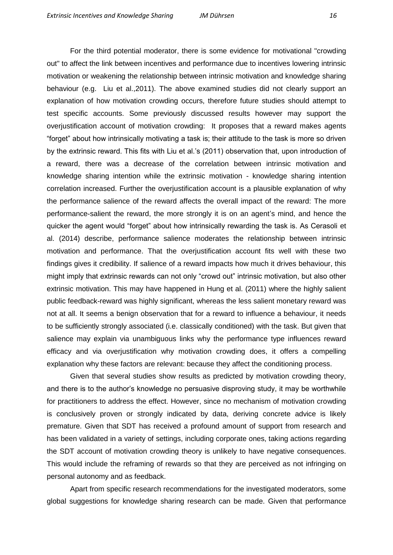For the third potential moderator, there is some evidence for motivational "crowding out" to affect the link between incentives and performance due to incentives lowering intrinsic motivation or weakening the relationship between intrinsic motivation and knowledge sharing behaviour (e.g. Liu et al.,2011). The above examined studies did not clearly support an explanation of how motivation crowding occurs, therefore future studies should attempt to test specific accounts. Some previously discussed results however may support the overjustification account of motivation crowding: It proposes that a reward makes agents "forget" about how intrinsically motivating a task is; their attitude to the task is more so driven by the extrinsic reward. This fits with Liu et al.'s (2011) observation that, upon introduction of a reward, there was a decrease of the correlation between intrinsic motivation and knowledge sharing intention while the extrinsic motivation - knowledge sharing intention correlation increased. Further the overjustification account is a plausible explanation of why the performance salience of the reward affects the overall impact of the reward: The more performance-salient the reward, the more strongly it is on an agent's mind, and hence the quicker the agent would "forget" about how intrinsically rewarding the task is. As Cerasoli et al. (2014) describe, performance salience moderates the relationship between intrinsic motivation and performance. That the overjustification account fits well with these two findings gives it credibility. If salience of a reward impacts how much it drives behaviour, this might imply that extrinsic rewards can not only "crowd out" intrinsic motivation, but also other extrinsic motivation. This may have happened in Hung et al. (2011) where the highly salient public feedback-reward was highly significant, whereas the less salient monetary reward was not at all. It seems a benign observation that for a reward to influence a behaviour, it needs to be sufficiently strongly associated (i.e. classically conditioned) with the task. But given that salience may explain via unambiguous links why the performance type influences reward efficacy and via overjustification why motivation crowding does, it offers a compelling explanation why these factors are relevant: because they affect the conditioning process.

Given that several studies show results as predicted by motivation crowding theory, and there is to the author's knowledge no persuasive disproving study, it may be worthwhile for practitioners to address the effect. However, since no mechanism of motivation crowding is conclusively proven or strongly indicated by data, deriving concrete advice is likely premature. Given that SDT has received a profound amount of support from research and has been validated in a variety of settings, including corporate ones, taking actions regarding the SDT account of motivation crowding theory is unlikely to have negative consequences. This would include the reframing of rewards so that they are perceived as not infringing on personal autonomy and as feedback.

Apart from specific research recommendations for the investigated moderators, some global suggestions for knowledge sharing research can be made. Given that performance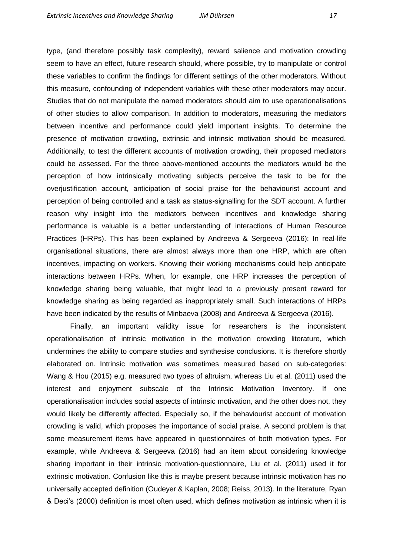type, (and therefore possibly task complexity), reward salience and motivation crowding seem to have an effect, future research should, where possible, try to manipulate or control these variables to confirm the findings for different settings of the other moderators. Without this measure, confounding of independent variables with these other moderators may occur. Studies that do not manipulate the named moderators should aim to use operationalisations of other studies to allow comparison. In addition to moderators, measuring the mediators between incentive and performance could yield important insights. To determine the presence of motivation crowding, extrinsic and intrinsic motivation should be measured. Additionally, to test the different accounts of motivation crowding, their proposed mediators could be assessed. For the three above-mentioned accounts the mediators would be the perception of how intrinsically motivating subjects perceive the task to be for the overjustification account, anticipation of social praise for the behaviourist account and perception of being controlled and a task as status-signalling for the SDT account. A further reason why insight into the mediators between incentives and knowledge sharing performance is valuable is a better understanding of interactions of Human Resource Practices (HRPs). This has been explained by Andreeva & Sergeeva (2016): In real-life organisational situations, there are almost always more than one HRP, which are often incentives, impacting on workers. Knowing their working mechanisms could help anticipate interactions between HRPs. When, for example, one HRP increases the perception of knowledge sharing being valuable, that might lead to a previously present reward for knowledge sharing as being regarded as inappropriately small. Such interactions of HRPs have been indicated by the results of Minbaeva (2008) and Andreeva & Sergeeva (2016).

Finally, an important validity issue for researchers is the inconsistent operationalisation of intrinsic motivation in the motivation crowding literature, which undermines the ability to compare studies and synthesise conclusions. It is therefore shortly elaborated on. Intrinsic motivation was sometimes measured based on sub-categories: Wang & Hou (2015) e.g. measured two types of altruism, whereas Liu et al. (2011) used the interest and enjoyment subscale of the Intrinsic Motivation Inventory. If one operationalisation includes social aspects of intrinsic motivation, and the other does not, they would likely be differently affected. Especially so, if the behaviourist account of motivation crowding is valid, which proposes the importance of social praise. A second problem is that some measurement items have appeared in questionnaires of both motivation types. For example, while Andreeva & Sergeeva (2016) had an item about considering knowledge sharing important in their intrinsic motivation-questionnaire, Liu et al. (2011) used it for extrinsic motivation. Confusion like this is maybe present because intrinsic motivation has no universally accepted definition (Oudeyer & Kaplan, 2008; Reiss, 2013). In the literature, Ryan & Deci's (2000) definition is most often used, which defines motivation as intrinsic when it is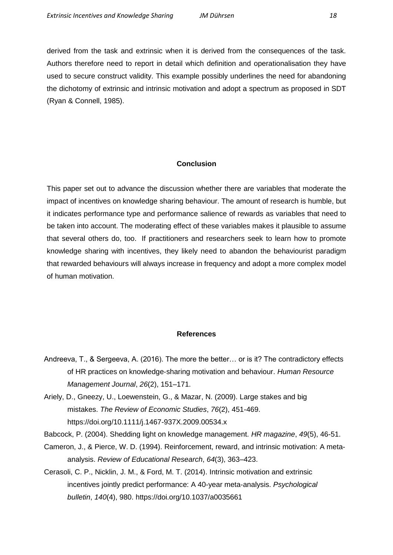derived from the task and extrinsic when it is derived from the consequences of the task. Authors therefore need to report in detail which definition and operationalisation they have used to secure construct validity. This example possibly underlines the need for abandoning the dichotomy of extrinsic and intrinsic motivation and adopt a spectrum as proposed in SDT (Ryan & Connell, 1985).

# **Conclusion**

This paper set out to advance the discussion whether there are variables that moderate the impact of incentives on knowledge sharing behaviour. The amount of research is humble, but it indicates performance type and performance salience of rewards as variables that need to be taken into account. The moderating effect of these variables makes it plausible to assume that several others do, too. If practitioners and researchers seek to learn how to promote knowledge sharing with incentives, they likely need to abandon the behaviourist paradigm that rewarded behaviours will always increase in frequency and adopt a more complex model of human motivation.

## **References**

<span id="page-17-0"></span>Andreeva, T., & Sergeeva, A. (2016). The more the better… or is it? The contradictory effects of HR practices on knowledge‐sharing motivation and behaviour. *Human Resource Management Journal*, *26*(2), 151–171.

Ariely, D., Gneezy, U., Loewenstein, G., & Mazar, N. (2009). Large stakes and big mistakes. *The Review of Economic Studies*, *76*(2), 451-469. https://doi.org/10.1111/j.1467-937X.2009.00534.x

Babcock, P. (2004). Shedding light on knowledge management. *HR magazine*, *49*(5), 46-51.

- Cameron, J., & Pierce, W. D. (1994). Reinforcement, reward, and intrinsic motivation: A metaanalysis. *Review of Educational Research*, *64*(3), 363–423.
- Cerasoli, C. P., Nicklin, J. M., & Ford, M. T. (2014). Intrinsic motivation and extrinsic incentives jointly predict performance: A 40-year meta-analysis. *Psychological bulletin*, *140*(4), 980. https://doi.org/10.1037/a0035661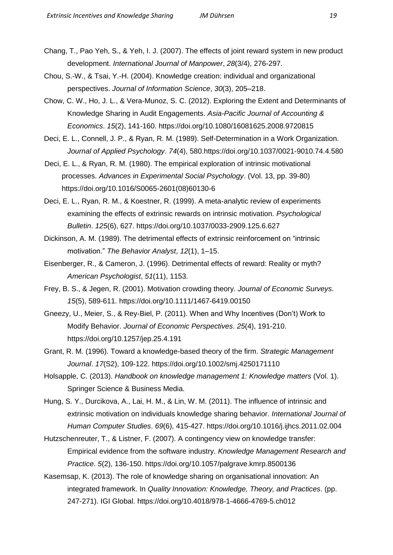Chang, T., Pao Yeh, S., & Yeh, I. J. (2007). The effects of joint reward system in new product development. *International Journal of Manpower*, *28*(3/4), 276-297.

Chou, S.-W., & Tsai, Y.-H. (2004). Knowledge creation: individual and organizational perspectives. *Journal of Information Science*, *30*(3), 205–218.

Chow, C. W., Ho, J. L., & Vera-Munoz, S. C. (2012). Exploring the Extent and Determinants of Knowledge Sharing in Audit Engagements. *Asia-Pacific Journal of Accounting & Economics*. *15*(2), 141-160. https://doi.org/10.1080/16081625.2008.9720815

Deci, E. L., Connell, J. P., & Ryan, R. M. (1989). Self-Determination in a Work Organization. *Journal of Applied Psychology*. *74*(4), 580.https://doi.org/10.1037/0021-9010.74.4.580

 Deci, E. L., & Ryan, R. M. (1980). The empirical exploration of intrinsic motivational processes. *Advances in Experimental Social Psychology*. (Vol. 13, pp. 39-80) https://doi.org/10.1016/S0065-2601(08)60130-6

Deci, E. L., Ryan, R. M., & Koestner, R. (1999). A meta-analytic review of experiments examining the effects of extrinsic rewards on intrinsic motivation. *Psychological Bulletin*. *125*(6), 627. https://doi.org/10.1037/0033-2909.125.6.627

Dickinson, A. M. (1989). The detrimental effects of extrinsic reinforcement on "intrinsic motivation." *The Behavior Analyst*, *12*(1), 1–15.

- Eisenberger, R., & Cameron, J. (1996). Detrimental effects of reward: Reality or myth? *American Psychologist*, *51*(11), 1153.
- Frey, B. S., & Jegen, R. (2001). Motivation crowding theory. *Journal of Economic Surveys*. *15*(5), 589-611. https://doi.org/10.1111/1467-6419.00150
- Gneezy, U., Meier, S., & Rey-Biel, P. (2011). When and Why Incentives (Don't) Work to Modify Behavior. *Journal of Economic Perspectives*. *25*(4), 191-210. https://doi.org/10.1257/jep.25.4.191

Grant, R. M. (1996). Toward a knowledge-based theory of the firm. *Strategic Management Journal*. *17*(S2), 109-122. https://doi.org/10.1002/smj.4250171110

Holsapple, C. (2013). *Handbook on knowledge management 1: Knowledge matters* (Vol. 1). Springer Science & Business Media.

Hung, S. Y., Durcikova, A., Lai, H. M., & Lin, W. M. (2011). The influence of intrinsic and extrinsic motivation on individuals knowledge sharing behavior. *International Journal of Human Computer Studies*. *69*(6), 415-427. https://doi.org/10.1016/j.ijhcs.2011.02.004

Hutzschenreuter, T., & Listner, F. (2007). A contingency view on knowledge transfer: Empirical evidence from the software industry. *Knowledge Management Research and Practice*. *5*(2), 136-150. https://doi.org/10.1057/palgrave.kmrp.8500136

Kasemsap, K. (2013). The role of knowledge sharing on organisational innovation: An integrated framework. In *Quality Innovation: Knowledge, Theory, and Practices*. (pp. 247-271). IGI Global. https://doi.org/10.4018/978-1-4666-4769-5.ch012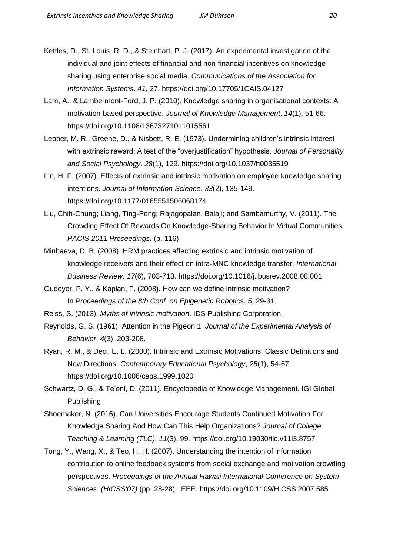- Kettles, D., St. Louis, R. D., & Steinbart, P. J. (2017). An experimental investigation of the individual and joint effects of financial and non-financial incentives on knowledge sharing using enterprise social media. *Communications of the Association for Information Systems*. *41*, 27. https://doi.org/10.17705/1CAIS.04127
- Lam, A., & Lambermont-Ford, J. P. (2010). Knowledge sharing in organisational contexts: A motivation-based perspective. *Journal of Knowledge Management*. *14*(1), 51-66. https://doi.org/10.1108/13673271011015561
- Lepper, M. R., Greene, D., & Nisbett, R. E. (1973). Undermining children's intrinsic interest with extrinsic reward: A test of the "overjustification" hypothesis. *Journal of Personality and Social Psychology*. *28*(1), 129. https://doi.org/10.1037/h0035519
- Lin, H. F. (2007). Effects of extrinsic and intrinsic motivation on employee knowledge sharing intentions. *Journal of Information Science*. *33*(2), 135-149. https://doi.org/10.1177/0165551506068174
- Liu, Chih-Chung; Liang, Ting-Peng; Rajagopalan, Balaji; and Sambamurthy, V. (2011). The Crowding Effect Of Rewards On Knowledge-Sharing Behavior In Virtual Communities. *PACIS 2011 Proceedings*. (p. 116)
- Minbaeva, D. B. (2008). HRM practices affecting extrinsic and intrinsic motivation of knowledge receivers and their effect on intra-MNC knowledge transfer. *International Business Review*. *17*(6), 703-713.<https://doi.org/10.1016/j.ibusrev.2008.08.001>
- Oudeyer, P. Y., & Kaplan, F. (2008). How can we define intrinsic motivation? In *Proceedings of the 8th Conf. on Epigenetic Robotics, 5*, 29-31.
- Reiss, S. (2013). *Myths of intrinsic motivation*. IDS Publishing Corporation.
- Reynolds, G. S. (1961). Attention in the Pigeon 1. *Journal of the Experimental Analysis of Behavior*, *4*(3), 203-208.
- Ryan, R. M., & Deci, E. L. (2000). Intrinsic and Extrinsic Motivations: Classic Definitions and New Directions. *Contemporary Educational Psychology*, *25*(1), 54-67. https://doi.org/10.1006/ceps.1999.1020
- Schwartz, D. G., & Te'eni, D. (2011). Encyclopedia of Knowledge Management. IGI Global Publishing
- Shoemaker, N. (2016). Can Universities Encourage Students Continued Motivation For Knowledge Sharing And How Can This Help Organizations? *Journal of College Teaching & Learning (TLC)*, *11*(3), 99. https://doi.org/10.19030/tlc.v11i3.8757
- Tong, Y., Wang, X., & Teo, H. H. (2007). Understanding the intention of information contribution to online feedback systems from social exchange and motivation crowding perspectives. *Proceedings of the Annual Hawaii International Conference on System Sciences*. *(HICSS'07)* (pp. 28-28). IEEE. https://doi.org/10.1109/HICSS.2007.585